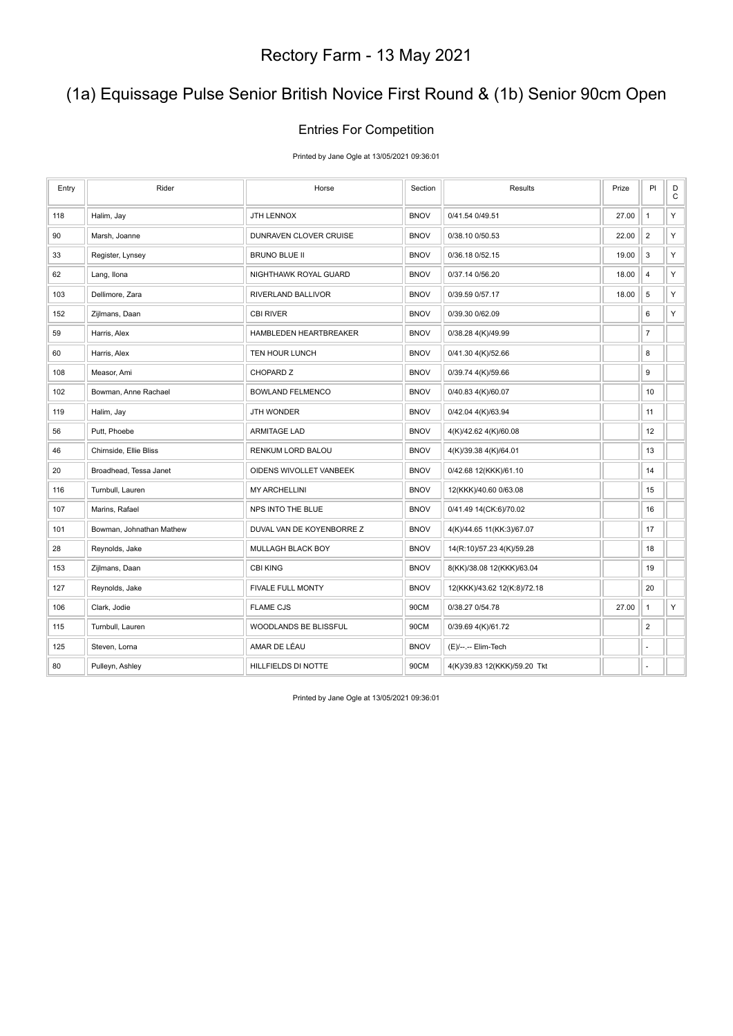## (1a) Equissage Pulse Senior British Novice First Round & (1b) Senior 90cm Open

#### Entries For Competition

Printed by Jane Ogle at 13/05/2021 09:36:01

| Entry | Rider                    | Horse                     | Section     | Results                      | Prize | PI             | $_{\rm C}^{\rm D}$ |
|-------|--------------------------|---------------------------|-------------|------------------------------|-------|----------------|--------------------|
| 118   | Halim, Jay               | JTH LENNOX                | <b>BNOV</b> | 0/41.54 0/49.51              | 27.00 | $\mathbf{1}$   | Υ                  |
| 90    | Marsh, Joanne            | DUNRAVEN CLOVER CRUISE    | <b>BNOV</b> | 0/38.10 0/50.53              | 22.00 | $\overline{2}$ | Y                  |
| 33    | Register, Lynsey         | BRUNO BLUE II             | <b>BNOV</b> | 0/36.18 0/52.15              | 19.00 | $\mathbf{3}$   | Y                  |
| 62    | Lang, Ilona              | NIGHTHAWK ROYAL GUARD     | <b>BNOV</b> | 0/37.14 0/56.20              | 18.00 | $\sqrt{4}$     | Y                  |
| 103   | Dellimore, Zara          | RIVERLAND BALLIVOR        | <b>BNOV</b> | 0/39.59 0/57.17              | 18.00 | $\,$ 5 $\,$    | Υ                  |
| 152   | Zijlmans, Daan           | <b>CBI RIVER</b>          | <b>BNOV</b> | 0/39.30 0/62.09              |       | 6              | Υ                  |
| 59    | Harris, Alex             | HAMBLEDEN HEARTBREAKER    | <b>BNOV</b> | 0/38.28 4(K)/49.99           |       | $\overline{7}$ |                    |
| 60    | Harris, Alex             | TEN HOUR LUNCH            | <b>BNOV</b> | 0/41.30 4(K)/52.66           |       | 8              |                    |
| 108   | Measor, Ami              | CHOPARD Z                 | <b>BNOV</b> | 0/39.74 4(K)/59.66           |       | 9              |                    |
| 102   | Bowman, Anne Rachael     | <b>BOWLAND FELMENCO</b>   | <b>BNOV</b> | 0/40.83 4(K)/60.07           |       | 10             |                    |
| 119   | Halim, Jay               | <b>JTH WONDER</b>         | <b>BNOV</b> | 0/42.04 4(K)/63.94           |       | 11             |                    |
| 56    | Putt, Phoebe             | <b>ARMITAGE LAD</b>       | <b>BNOV</b> | 4(K)/42.62 4(K)/60.08        |       | 12             |                    |
| 46    | Chirnside, Ellie Bliss   | RENKUM LORD BALOU         | <b>BNOV</b> | 4(K)/39.38 4(K)/64.01        |       | 13             |                    |
| 20    | Broadhead, Tessa Janet   | OIDENS WIVOLLET VANBEEK   | <b>BNOV</b> | 0/42.68 12(KKK)/61.10        |       | 14             |                    |
| 116   | Turnbull, Lauren         | <b>MY ARCHELLINI</b>      | <b>BNOV</b> | 12(KKK)/40.60 0/63.08        |       | 15             |                    |
| 107   | Marins, Rafael           | NPS INTO THE BLUE         | <b>BNOV</b> | 0/41.49 14(CK:6)/70.02       |       | 16             |                    |
| 101   | Bowman, Johnathan Mathew | DUVAL VAN DE KOYENBORRE Z | <b>BNOV</b> | 4(K)/44.65 11(KK:3)/67.07    |       | 17             |                    |
| 28    | Reynolds, Jake           | <b>MULLAGH BLACK BOY</b>  | <b>BNOV</b> | 14(R:10)/57.23 4(K)/59.28    |       | 18             |                    |
| 153   | Zijlmans, Daan           | <b>CBI KING</b>           | <b>BNOV</b> | 8(KK)/38.08 12(KKK)/63.04    |       | 19             |                    |
| 127   | Reynolds, Jake           | FIVALE FULL MONTY         | <b>BNOV</b> | 12(KKK)/43.62 12(K:8)/72.18  |       | 20             |                    |
| 106   | Clark, Jodie             | <b>FLAME CJS</b>          | 90CM        | 0/38.27 0/54.78              | 27.00 | $\mathbf{1}$   | Υ                  |
| 115   | Turnbull, Lauren         | WOODLANDS BE BLISSFUL     | 90CM        | 0/39.69 4(K)/61.72           |       | $\overline{2}$ |                    |
| 125   | Steven, Lorna            | AMAR DE LÉAU              | <b>BNOV</b> | (E)/--.-- Elim-Tech          |       | ä,             |                    |
| 80    | Pulleyn, Ashley          | HILLFIELDS DI NOTTE       | 90CM        | 4(K)/39.83 12(KKK)/59.20 Tkt |       | ä,             |                    |

Printed by Jane Ogle at 13/05/2021 09:36:01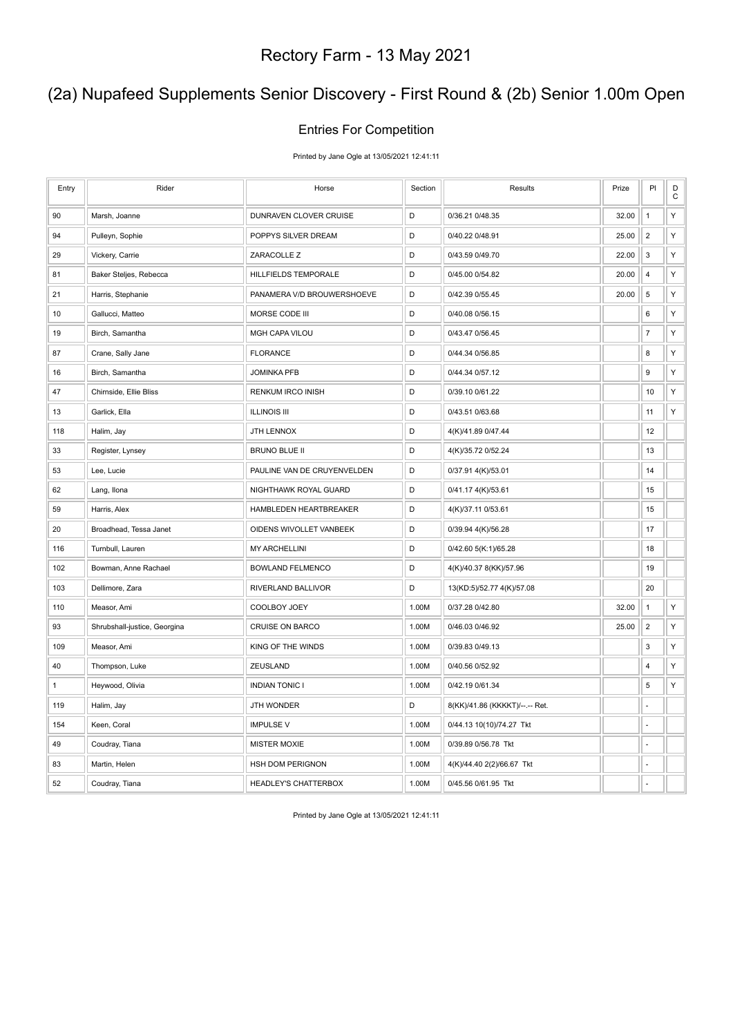### (2a) Nupafeed Supplements Senior Discovery - First Round & (2b) Senior 1.00m Open

#### Entries For Competition

Printed by Jane Ogle at 13/05/2021 12:41:11

| Entry        | Rider                        | Horse                       | Section | Results                        | Prize | PI                      | D<br>$\mathsf C$ |
|--------------|------------------------------|-----------------------------|---------|--------------------------------|-------|-------------------------|------------------|
| 90           | Marsh, Joanne                | DUNRAVEN CLOVER CRUISE      | D       | 0/36.21 0/48.35                | 32.00 | $\mathbf{1}$            | Υ                |
| 94           | Pulleyn, Sophie              | POPPYS SILVER DREAM         | D       | 0/40.22 0/48.91                | 25.00 | $\overline{2}$          | Υ                |
| 29           | Vickery, Carrie              | ZARACOLLE Z                 | D       | 0/43.59 0/49.70                | 22.00 | 3                       | Υ                |
| 81           | Baker Steljes, Rebecca       | HILLFIELDS TEMPORALE        | D       | 0/45.00 0/54.82                | 20.00 | $\sqrt{4}$              | Υ                |
| 21           | Harris, Stephanie            | PANAMERA V/D BROUWERSHOEVE  | D       | 0/42.39 0/55.45                | 20.00 | $\,$ 5 $\,$             | Υ                |
| 10           | Gallucci, Matteo             | MORSE CODE III              | D       | 0/40.08 0/56.15                |       | 6                       | Υ                |
| 19           | Birch, Samantha              | <b>MGH CAPA VILOU</b>       | D       | 0/43.47 0/56.45                |       | $\overline{7}$          | Υ                |
| 87           | Crane, Sally Jane            | <b>FLORANCE</b>             | D       | 0/44.34 0/56.85                |       | 8                       | Υ                |
| 16           | Birch, Samantha              | <b>JOMINKA PFB</b>          | D       | 0/44.34 0/57.12                |       | 9                       | Υ                |
| 47           | Chirnside, Ellie Bliss       | RENKUM IRCO INISH           | D       | 0/39.10 0/61.22                |       | 10                      | Υ                |
| 13           | Garlick, Ella                | <b>ILLINOIS III</b>         | D       | 0/43.51 0/63.68                |       | 11                      | Υ                |
| 118          | Halim, Jay                   | JTH LENNOX                  | D       | 4(K)/41.89 0/47.44             |       | 12                      |                  |
| 33           | Register, Lynsey             | <b>BRUNO BLUE II</b>        | D       | 4(K)/35.72 0/52.24             |       | 13                      |                  |
| 53           | Lee, Lucie                   | PAULINE VAN DE CRUYENVELDEN | D       | 0/37.91 4(K)/53.01             |       | 14                      |                  |
| 62           | Lang, Ilona                  | NIGHTHAWK ROYAL GUARD       | D       | 0/41.17 4(K)/53.61             |       | 15                      |                  |
| 59           | Harris, Alex                 | HAMBLEDEN HEARTBREAKER      | D       | 4(K)/37.11 0/53.61             |       | 15                      |                  |
| 20           | Broadhead, Tessa Janet       | OIDENS WIVOLLET VANBEEK     | D       | 0/39.94 4(K)/56.28             |       | 17                      |                  |
| 116          | Turnbull, Lauren             | <b>MY ARCHELLINI</b>        | D       | 0/42.60 5(K:1)/65.28           |       | 18                      |                  |
| 102          | Bowman, Anne Rachael         | <b>BOWLAND FELMENCO</b>     | D       | 4(K)/40.37 8(KK)/57.96         |       | 19                      |                  |
| 103          | Dellimore, Zara              | RIVERLAND BALLIVOR          | D       | 13(KD:5)/52.77 4(K)/57.08      |       | 20                      |                  |
| 110          | Measor, Ami                  | COOLBOY JOEY                | 1.00M   | 0/37.28 0/42.80                | 32.00 | $\mathbf{1}$            | Υ                |
| 93           | Shrubshall-justice, Georgina | <b>CRUISE ON BARCO</b>      | 1.00M   | 0/46.03 0/46.92                | 25.00 | $\overline{\mathbf{c}}$ | Υ                |
| 109          | Measor, Ami                  | KING OF THE WINDS           | 1.00M   | 0/39.83 0/49.13                |       | 3                       | Υ                |
| 40           | Thompson, Luke               | ZEUSLAND                    | 1.00M   | 0/40.56 0/52.92                |       | 4                       | Υ                |
| $\mathbf{1}$ | Heywood, Olivia              | <b>INDIAN TONIC I</b>       | 1.00M   | 0/42.19 0/61.34                |       | 5                       | Υ                |
| 119          | Halim, Jay                   | JTH WONDER                  | D       | 8(KK)/41.86 (KKKKT)/--.-- Ret. |       | ÷,                      |                  |
| 154          | Keen, Coral                  | <b>IMPULSE V</b>            | 1.00M   | 0/44.13 10(10)/74.27 Tkt       |       | ÷,                      |                  |
| 49           | Coudray, Tiana               | <b>MISTER MOXIE</b>         | 1.00M   | 0/39.89 0/56.78 Tkt            |       | L.                      |                  |
| 83           | Martin, Helen                | <b>HSH DOM PERIGNON</b>     | 1.00M   | 4(K)/44.40 2(2)/66.67 Tkt      |       |                         |                  |
| 52           | Coudray, Tiana               | HEADLEY'S CHATTERBOX        | 1.00M   | 0/45.56 0/61.95 Tkt            |       | ÷.                      |                  |

Printed by Jane Ogle at 13/05/2021 12:41:11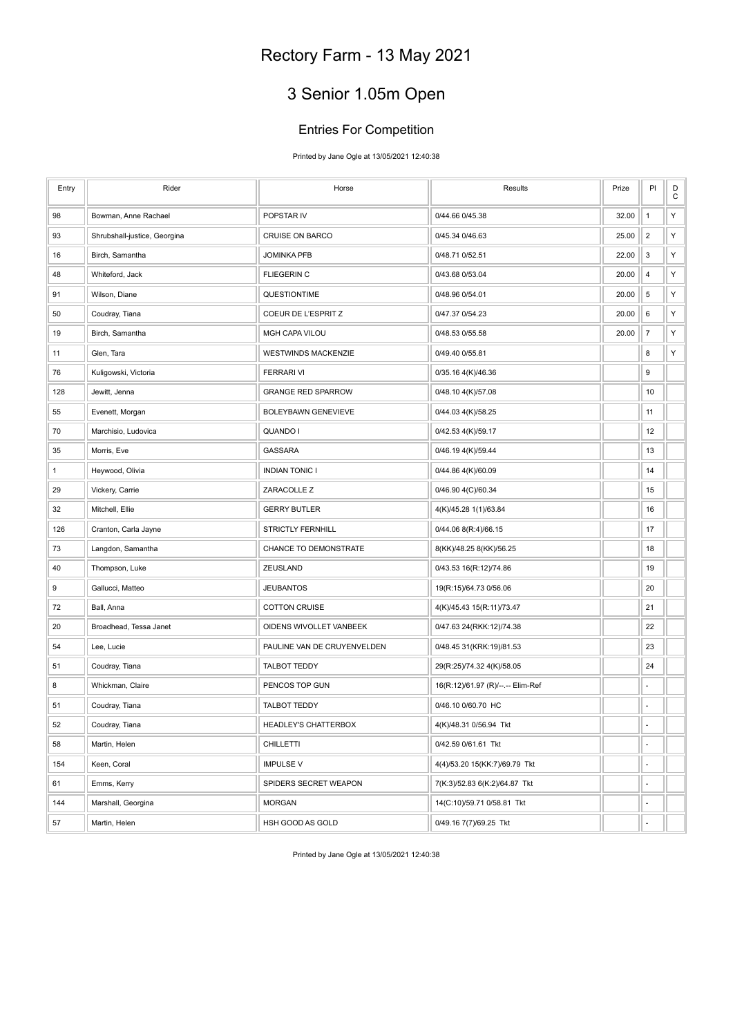# 3 Senior 1.05m Open

#### Entries For Competition

Printed by Jane Ogle at 13/05/2021 12:40:38

| Entry | Rider                        | Horse                       | Results                           | Prize | PI             | D<br>$\mathsf C$ |
|-------|------------------------------|-----------------------------|-----------------------------------|-------|----------------|------------------|
| 98    | Bowman, Anne Rachael         | POPSTAR IV                  | 0/44.66 0/45.38                   | 32.00 | $\mathbf{1}$   | Υ                |
| 93    | Shrubshall-justice, Georgina | <b>CRUISE ON BARCO</b>      | 0/45.34 0/46.63                   | 25.00 | $\overline{2}$ | Υ                |
| 16    | Birch, Samantha              | <b>JOMINKA PFB</b>          | 0/48.71 0/52.51                   | 22.00 | 3              | Υ                |
| 48    | Whiteford, Jack              | <b>FLIEGERIN C</b>          | 0/43.68 0/53.04                   | 20.00 | 4              | Υ                |
| 91    | Wilson, Diane                | QUESTIONTIME                | 0/48.96 0/54.01                   | 20.00 | 5              | Υ                |
| 50    | Coudray, Tiana               | COEUR DE L'ESPRIT Z         | 0/47.37 0/54.23                   | 20.00 | 6              | Υ                |
| 19    | Birch, Samantha              | MGH CAPA VILOU              | 0/48.53 0/55.58                   | 20.00 | $\overline{7}$ | Υ                |
| 11    | Glen, Tara                   | <b>WESTWINDS MACKENZIE</b>  | 0/49.40 0/55.81                   |       | 8              | Υ                |
| 76    | Kuligowski, Victoria         | <b>FERRARI VI</b>           | 0/35.16 4(K)/46.36                |       | 9              |                  |
| 128   | Jewitt, Jenna                | <b>GRANGE RED SPARROW</b>   | 0/48.10 4(K)/57.08                |       | 10             |                  |
| 55    | Evenett, Morgan              | BOLEYBAWN GENEVIEVE         | 0/44.03 4(K)/58.25                |       | 11             |                  |
| 70    | Marchisio, Ludovica          | QUANDO I                    | 0/42.53 4(K)/59.17                |       | 12             |                  |
| 35    | Morris, Eve                  | <b>GASSARA</b>              | 0/46.19 4(K)/59.44                |       | 13             |                  |
| 1     | Heywood, Olivia              | <b>INDIAN TONIC I</b>       | 0/44.86 4(K)/60.09                |       | 14             |                  |
| 29    | Vickery, Carrie              | ZARACOLLE Z                 | 0/46.90 4(C)/60.34                |       | 15             |                  |
| 32    | Mitchell, Ellie              | <b>GERRY BUTLER</b>         | 4(K)/45.28 1(1)/63.84             |       | 16             |                  |
| 126   | Cranton, Carla Jayne         | STRICTLY FERNHILL           | 0/44.06 8(R:4)/66.15              |       | 17             |                  |
| 73    | Langdon, Samantha            | CHANCE TO DEMONSTRATE       | 8(KK)/48.25 8(KK)/56.25           |       | 18             |                  |
| 40    | Thompson, Luke               | ZEUSLAND                    | 0/43.53 16(R:12)/74.86            |       | 19             |                  |
| 9     | Gallucci, Matteo             | <b>JEUBANTOS</b>            | 19(R:15)/64.73 0/56.06            |       | 20             |                  |
| 72    | Ball, Anna                   | <b>COTTON CRUISE</b>        | 4(K)/45.43 15(R:11)/73.47         |       | 21             |                  |
| 20    | Broadhead, Tessa Janet       | OIDENS WIVOLLET VANBEEK     | 0/47.63 24(RKK:12)/74.38          |       | 22             |                  |
| 54    | Lee, Lucie                   | PAULINE VAN DE CRUYENVELDEN | 0/48.45 31(KRK:19)/81.53          |       | 23             |                  |
| 51    | Coudray, Tiana               | <b>TALBOT TEDDY</b>         | 29(R:25)/74.32 4(K)/58.05         |       | 24             |                  |
| 8     | Whickman, Claire             | PENCOS TOP GUN              | 16(R:12)/61.97 (R)/--.-- Elim-Ref |       | ÷,             |                  |
| 51    | Coudray, Tiana               | <b>TALBOT TEDDY</b>         | 0/46.10 0/60.70 HC                |       | ä,             |                  |
| 52    | Coudray, Tiana               | HEADLEY'S CHATTERBOX        | 4(K)/48.31 0/56.94 Tkt            |       | ÷,             |                  |
| 58    | Martin, Helen                | CHILLETTI                   | 0/42.59 0/61.61 Tkt               |       | ä,             |                  |
| 154   | Keen, Coral                  | <b>IMPULSE V</b>            | 4(4)/53.20 15(KK:7)/69.79 Tkt     |       | ÷,             |                  |
| 61    | Emms, Kerry                  | SPIDERS SECRET WEAPON       | 7(K:3)/52.83 6(K:2)/64.87 Tkt     |       |                |                  |
| 144   | Marshall, Georgina           | <b>MORGAN</b>               | 14(C:10)/59.71 0/58.81 Tkt        |       | ÷.             |                  |
| 57    | Martin, Helen                | HSH GOOD AS GOLD            | 0/49.16 7(7)/69.25 Tkt            |       | Ĭ.             |                  |

Printed by Jane Ogle at 13/05/2021 12:40:38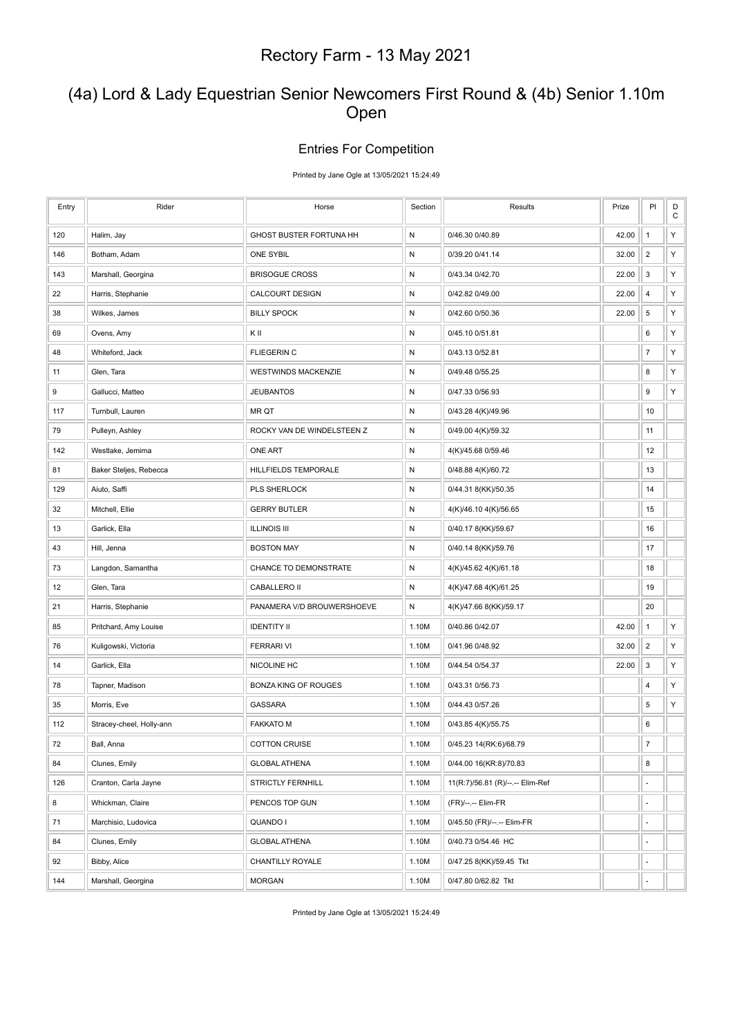### (4a) Lord & Lady Equestrian Senior Newcomers First Round & (4b) Senior 1.10m Open

#### Entries For Competition

Printed by Jane Ogle at 13/05/2021 15:24:49

| Entry | Rider                    | Horse                      | Section      | Results                          | Prize | PI               | D<br>${\bf C}$ |
|-------|--------------------------|----------------------------|--------------|----------------------------------|-------|------------------|----------------|
| 120   | Halim, Jay               | GHOST BUSTER FORTUNA HH    | ${\sf N}$    | 0/46.30 0/40.89                  | 42.00 | $\mathbf{1}$     | Υ              |
| 146   | Botham, Adam             | <b>ONE SYBIL</b>           | ${\sf N}$    | 0/39.20 0/41.14                  | 32.00 | $\overline{2}$   | Υ              |
| 143   | Marshall, Georgina       | <b>BRISOGUE CROSS</b>      | ${\sf N}$    | 0/43.34 0/42.70                  | 22.00 | 3                | Υ              |
| 22    | Harris, Stephanie        | <b>CALCOURT DESIGN</b>     | N            | 0/42.82 0/49.00                  | 22.00 | 4                | Υ              |
| 38    | Wilkes, James            | <b>BILLY SPOCK</b>         | ${\sf N}$    | 0/42.60 0/50.36                  | 22.00 | $\sqrt{5}$       | Υ              |
| 69    | Ovens, Amy               | ΚIΙ                        | N            | 0/45.10 0/51.81                  |       | 6                | Y              |
| 48    | Whiteford, Jack          | <b>FLIEGERIN C</b>         | N            | 0/43.13 0/52.81                  |       | $\overline{7}$   | Υ              |
| 11    | Glen, Tara               | <b>WESTWINDS MACKENZIE</b> | ${\sf N}$    | 0/49.48 0/55.25                  |       | 8                | Υ              |
| 9     | Gallucci, Matteo         | <b>JEUBANTOS</b>           | N            | 0/47.33 0/56.93                  |       | 9                | Υ              |
| 117   | Turnbull, Lauren         | <b>MR QT</b>               | N            | 0/43.28 4(K)/49.96               |       | 10               |                |
| 79    | Pulleyn, Ashley          | ROCKY VAN DE WINDELSTEEN Z | N            | 0/49.00 4(K)/59.32               |       | 11               |                |
| 142   | Westlake, Jemima         | <b>ONE ART</b>             | N            | 4(K)/45.68 0/59.46               |       | 12               |                |
| 81    | Baker Steljes, Rebecca   | HILLFIELDS TEMPORALE       | N            | 0/48.88 4(K)/60.72               |       | 13               |                |
| 129   | Aiuto, Saffi             | PLS SHERLOCK               | N            | 0/44.31 8(KK)/50.35              |       | 14               |                |
| 32    | Mitchell, Ellie          | <b>GERRY BUTLER</b>        | N            | 4(K)/46.10 4(K)/56.65            |       | 15               |                |
| 13    | Garlick, Ella            | <b>ILLINOIS III</b>        | $\mathsf{N}$ | 0/40.17 8(KK)/59.67              |       | 16               |                |
| 43    | Hill, Jenna              | <b>BOSTON MAY</b>          | N            | 0/40.14 8(KK)/59.76              |       | 17               |                |
| 73    | Langdon, Samantha        | CHANCE TO DEMONSTRATE      | N            | 4(K)/45.62 4(K)/61.18            |       | 18               |                |
| 12    | Glen, Tara               | CABALLERO II               | ${\sf N}$    | 4(K)/47.68 4(K)/61.25            |       | 19               |                |
| 21    | Harris, Stephanie        | PANAMERA V/D BROUWERSHOEVE | N            | 4(K)/47.66 8(KK)/59.17           |       | 20               |                |
| 85    | Pritchard, Amy Louise    | <b>IDENTITY II</b>         | 1.10M        | 0/40.86 0/42.07                  | 42.00 | $\mathbf{1}$     | Υ              |
| 76    | Kuligowski, Victoria     | <b>FERRARI VI</b>          | 1.10M        | 0/41.96 0/48.92                  | 32.00 | $\overline{2}$   | Υ              |
| 14    | Garlick, Ella            | NICOLINE HC                | 1.10M        | 0/44.54 0/54.37                  | 22.00 | 3                | Υ              |
| 78    | Tapner, Madison          | BONZA KING OF ROUGES       | 1.10M        | 0/43.31 0/56.73                  |       | 4                | Υ              |
| 35    | Morris, Eve              | <b>GASSARA</b>             | 1.10M        | 0/44.43 0/57.26                  |       | 5                | Υ              |
| 112   | Stracey-cheel, Holly-ann | <b>FAKKATO M</b>           | 1.10M        | 0/43.85 4(K)/55.75               |       | 6                |                |
| 72    | Ball, Anna               | <b>COTTON CRUISE</b>       | 1.10M        | 0/45.23 14(RK:6)/68.79           |       | $\boldsymbol{7}$ |                |
| 84    | Clunes, Emily            | <b>GLOBAL ATHENA</b>       | 1.10M        | 0/44.00 16(KR:8)/70.83           |       | 8                |                |
| 126   | Cranton, Carla Jayne     | <b>STRICTLY FERNHILL</b>   | 1.10M        | 11(R:7)/56.81 (R)/--.-- Elim-Ref |       | ÷                |                |
| 8     | Whickman, Claire         | PENCOS TOP GUN             | 1.10M        | (FR)/--.-- Elim-FR               |       | ÷,               |                |
| 71    | Marchisio, Ludovica      | QUANDO I                   | 1.10M        | 0/45.50 (FR)/--.-- Elim-FR       |       | ÷.               |                |
| 84    | Clunes, Emily            | <b>GLOBAL ATHENA</b>       | 1.10M        | 0/40.73 0/54.46 HC               |       | ÷,               |                |
| 92    | Bibby, Alice             | CHANTILLY ROYALE           | 1.10M        | 0/47.25 8(KK)/59.45 Tkt          |       | ÷,               |                |
| 144   | Marshall, Georgina       | <b>MORGAN</b>              | 1.10M        | 0/47.80 0/62.82 Tkt              |       | ä,               |                |

Printed by Jane Ogle at 13/05/2021 15:24:49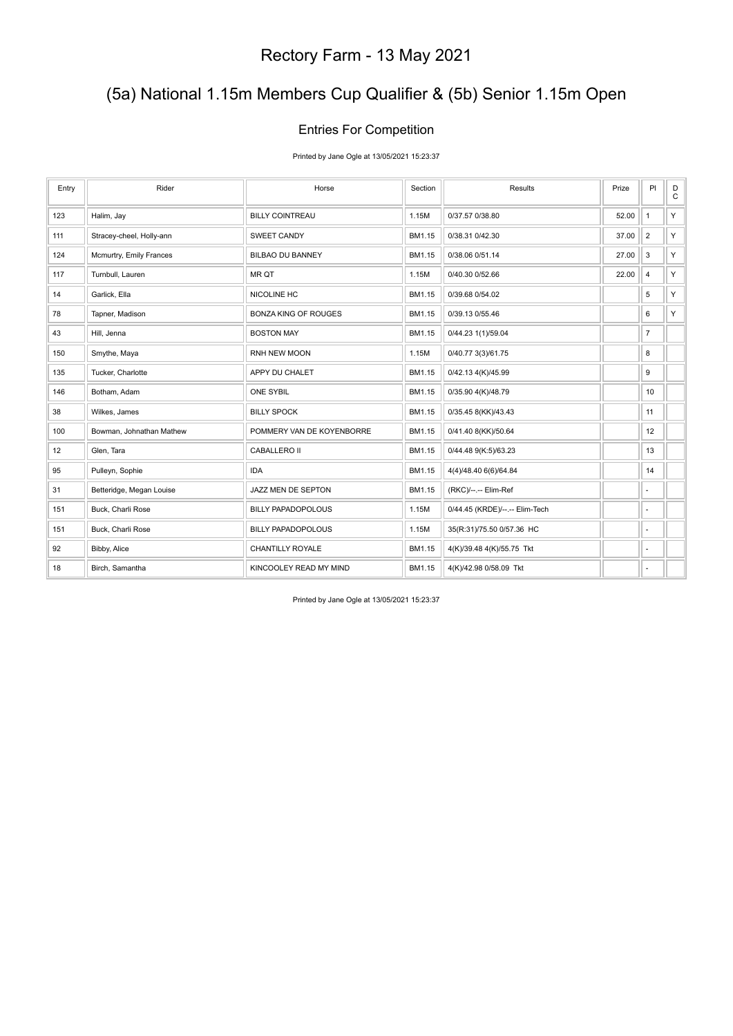## (5a) National 1.15m Members Cup Qualifier & (5b) Senior 1.15m Open

#### Entries For Competition

Printed by Jane Ogle at 13/05/2021 15:23:37

| Entry | Rider                    | Horse                       | Section | Results                        | Prize | PI                       | D<br>$\mathsf{C}$ |
|-------|--------------------------|-----------------------------|---------|--------------------------------|-------|--------------------------|-------------------|
| 123   | Halim, Jay               | <b>BILLY COINTREAU</b>      | 1.15M   | 0/37.57 0/38.80                | 52.00 | $\mathbf{1}$             | Y                 |
| 111   | Stracey-cheel, Holly-ann | <b>SWEET CANDY</b>          | BM1.15  | 0/38.31 0/42.30                | 37.00 | $\overline{2}$           | Y                 |
| 124   | Mcmurtry, Emily Frances  | <b>BILBAO DU BANNEY</b>     | BM1.15  | 0/38.06 0/51.14                | 27.00 | 3                        | Y.                |
| 117   | Turnbull, Lauren         | MR QT                       | 1.15M   | 0/40.30 0/52.66                | 22.00 | $\overline{4}$           | Y                 |
| 14    | Garlick, Ella            | NICOLINE HC                 | BM1.15  | 0/39.68 0/54.02                |       | 5                        | Y                 |
| 78    | Tapner, Madison          | <b>BONZA KING OF ROUGES</b> | BM1.15  | 0/39.13 0/55.46                |       | 6                        | Y.                |
| 43    | Hill, Jenna              | <b>BOSTON MAY</b>           | BM1.15  | 0/44.23 1(1)/59.04             |       | $\overline{7}$           |                   |
| 150   | Smythe, Maya             | RNH NEW MOON                | 1.15M   | 0/40.77 3(3)/61.75             |       | 8                        |                   |
| 135   | Tucker, Charlotte        | APPY DU CHALET              | BM1.15  | 0/42.13 4(K)/45.99             |       | 9                        |                   |
| 146   | Botham, Adam             | <b>ONE SYBIL</b>            | BM1.15  | 0/35.90 4(K)/48.79             |       | 10                       |                   |
| 38    | Wilkes, James            | <b>BILLY SPOCK</b>          | BM1.15  | 0/35.45 8(KK)/43.43            |       | 11                       |                   |
| 100   | Bowman, Johnathan Mathew | POMMERY VAN DE KOYENBORRE   | BM1.15  | 0/41.40 8(KK)/50.64            |       | 12                       |                   |
| 12    | Glen, Tara               | <b>CABALLERO II</b>         | BM1.15  | 0/44.48 9(K:5)/63.23           |       | 13                       |                   |
| 95    | Pulleyn, Sophie          | <b>IDA</b>                  | BM1.15  | 4(4)/48.40 6(6)/64.84          |       | 14                       |                   |
| 31    | Betteridge, Megan Louise | JAZZ MEN DE SEPTON          | BM1.15  | (RKC)/--.-- Elim-Ref           |       | ä,                       |                   |
| 151   | Buck, Charli Rose        | <b>BILLY PAPADOPOLOUS</b>   | 1.15M   | 0/44.45 (KRDE)/--.-- Elim-Tech |       | $\overline{\phantom{a}}$ |                   |
| 151   | Buck, Charli Rose        | <b>BILLY PAPADOPOLOUS</b>   | 1.15M   | 35(R:31)/75.50 0/57.36 HC      |       | ٠                        |                   |
| 92    | Bibby, Alice             | <b>CHANTILLY ROYALE</b>     | BM1.15  | 4(K)/39.48 4(K)/55.75 Tkt      |       | ÷,                       |                   |
| 18    | Birch, Samantha          | KINCOOLEY READ MY MIND      | BM1.15  | 4(K)/42.98 0/58.09 Tkt         |       | ٠                        |                   |

Printed by Jane Ogle at 13/05/2021 15:23:37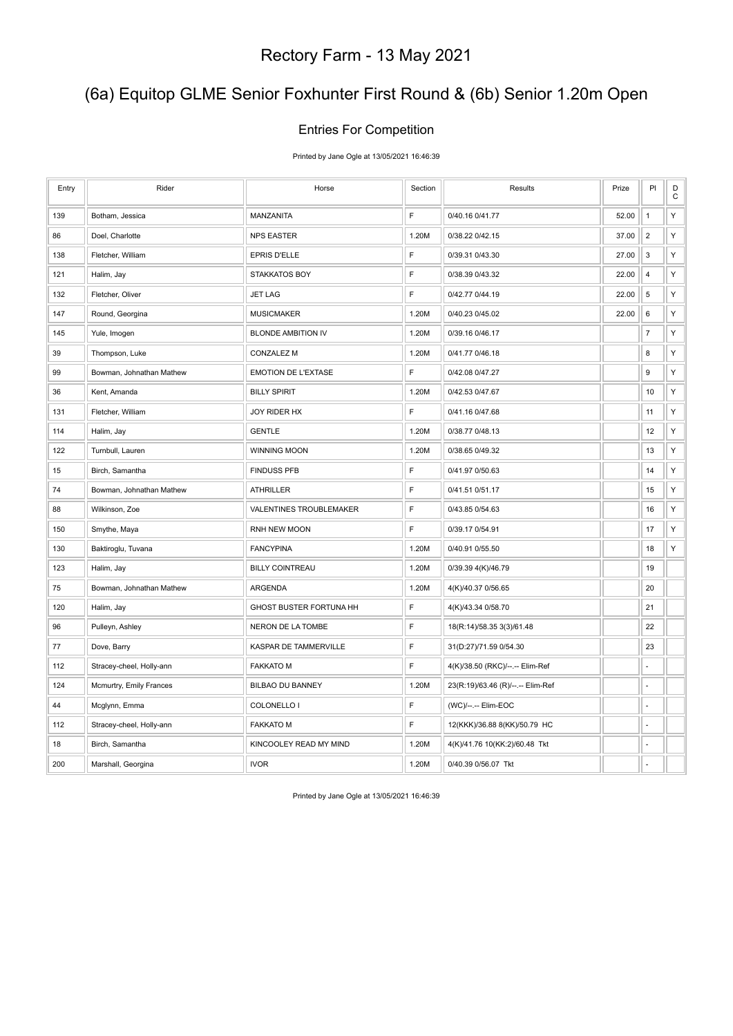## (6a) Equitop GLME Senior Foxhunter First Round & (6b) Senior 1.20m Open

#### Entries For Competition

Printed by Jane Ogle at 13/05/2021 16:46:39

| Entry | Rider                    | Horse                          | Section | Results                           | Prize | PI             | D<br>$\mathbf C$ |
|-------|--------------------------|--------------------------------|---------|-----------------------------------|-------|----------------|------------------|
| 139   | Botham, Jessica          | MANZANITA                      | F       | 0/40.16 0/41.77                   | 52.00 | $\mathbf{1}$   | Υ                |
| 86    | Doel, Charlotte          | <b>NPS EASTER</b>              | 1.20M   | 0/38.22 0/42.15                   | 37.00 | $\overline{2}$ | Υ                |
| 138   | Fletcher, William        | EPRIS D'ELLE                   | F       | 0/39.31 0/43.30                   | 27.00 | 3              | Υ                |
| 121   | Halim, Jay               | <b>STAKKATOS BOY</b>           | F       | 0/38.39 0/43.32                   | 22.00 | $\overline{4}$ | Υ                |
| 132   | Fletcher, Oliver         | <b>JET LAG</b>                 | F       | 0/42.77 0/44.19                   | 22.00 | 5              | Υ                |
| 147   | Round, Georgina          | <b>MUSICMAKER</b>              | 1.20M   | 0/40.23 0/45.02                   | 22.00 | $\,6\,$        | Υ                |
| 145   | Yule, Imogen             | <b>BLONDE AMBITION IV</b>      | 1.20M   | 0/39.16 0/46.17                   |       | $\overline{7}$ | Υ                |
| 39    | Thompson, Luke           | <b>CONZALEZ M</b>              | 1.20M   | 0/41.77 0/46.18                   |       | 8              | Υ                |
| 99    | Bowman, Johnathan Mathew | <b>EMOTION DE L'EXTASE</b>     | F       | 0/42.08 0/47.27                   |       | 9              | Υ                |
| 36    | Kent, Amanda             | <b>BILLY SPIRIT</b>            | 1.20M   | 0/42.53 0/47.67                   |       | 10             | Υ                |
| 131   | Fletcher, William        | JOY RIDER HX                   | F       | 0/41.16 0/47.68                   |       | 11             | Υ                |
| 114   | Halim, Jay               | <b>GENTLE</b>                  | 1.20M   | 0/38.77 0/48.13                   |       | 12             | Υ                |
| 122   | Turnbull, Lauren         | WINNING MOON                   | 1.20M   | 0/38.65 0/49.32                   |       | 13             | Υ                |
| 15    | Birch, Samantha          | <b>FINDUSS PFB</b>             | F       | 0/41.97 0/50.63                   |       | 14             | Υ                |
| 74    | Bowman, Johnathan Mathew | <b>ATHRILLER</b>               | F       | 0/41.51 0/51.17                   |       | 15             | Υ                |
| 88    | Wilkinson, Zoe           | VALENTINES TROUBLEMAKER        | F       | 0/43.85 0/54.63                   |       | 16             | Υ                |
| 150   | Smythe, Maya             | RNH NEW MOON                   | F       | 0/39.17 0/54.91                   |       | 17             | Υ                |
| 130   | Baktiroglu, Tuvana       | <b>FANCYPINA</b>               | 1.20M   | 0/40.91 0/55.50                   |       | 18             | Υ                |
| 123   | Halim, Jay               | <b>BILLY COINTREAU</b>         | 1.20M   | 0/39.39 4(K)/46.79                |       | 19             |                  |
| 75    | Bowman, Johnathan Mathew | ARGENDA                        | 1.20M   | 4(K)/40.37 0/56.65                |       | 20             |                  |
| 120   | Halim, Jay               | <b>GHOST BUSTER FORTUNA HH</b> | F       | 4(K)/43.34 0/58.70                |       | 21             |                  |
| 96    | Pulleyn, Ashley          | NERON DE LA TOMBE              | F       | 18(R:14)/58.35 3(3)/61.48         |       | 22             |                  |
| 77    | Dove, Barry              | KASPAR DE TAMMERVILLE          | F       | 31(D:27)/71.59 0/54.30            |       | 23             |                  |
| 112   | Stracey-cheel, Holly-ann | <b>FAKKATO M</b>               | F       | 4(K)/38.50 (RKC)/--.-- Elim-Ref   |       | ÷,             |                  |
| 124   | Mcmurtry, Emily Frances  | BILBAO DU BANNEY               | 1.20M   | 23(R:19)/63.46 (R)/--.-- Elim-Ref |       | ÷.             |                  |
| 44    | Mcglynn, Emma            | COLONELLO I                    | F       | (WC)/--.-- Elim-EOC               |       | ÷,             |                  |
| 112   | Stracey-cheel, Holly-ann | <b>FAKKATO M</b>               | F       | 12(KKK)/36.88 8(KK)/50.79 HC      |       | ÷,             |                  |
| 18    | Birch, Samantha          | KINCOOLEY READ MY MIND         | 1.20M   | 4(K)/41.76 10(KK:2)/60.48 Tkt     |       | ä,             |                  |
| 200   | Marshall, Georgina       | <b>IVOR</b>                    | 1.20M   | 0/40.39 0/56.07 Tkt               |       |                |                  |

Printed by Jane Ogle at 13/05/2021 16:46:39